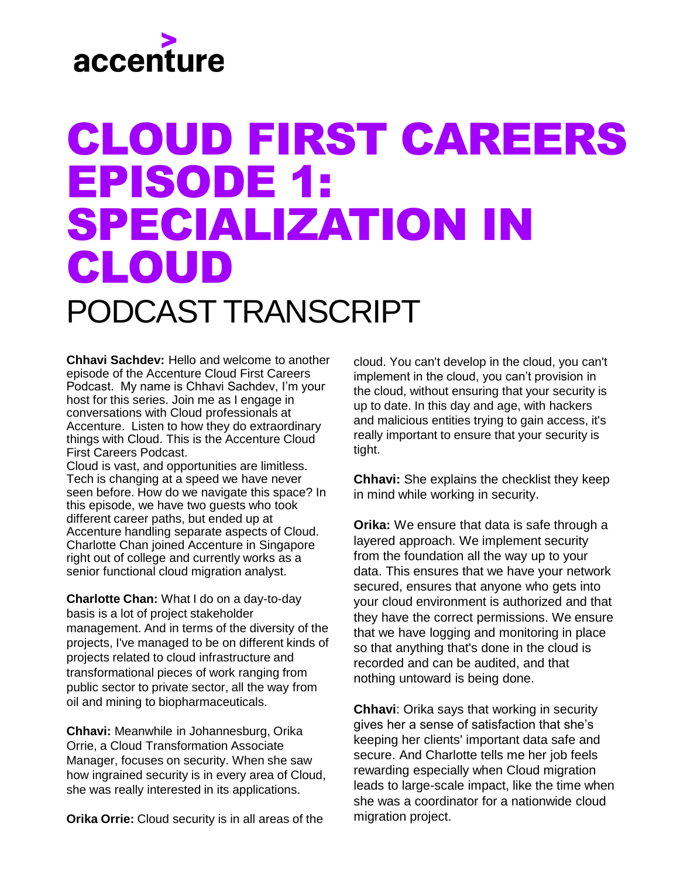# accenture

# CLOUD FIRST CAREERS EPISODE 1: SPECIALIZATION IN CLOUD

#### PODCAST TRANSCRIPT

**Chhavi Sachdev:** Hello and welcome to another episode of the Accenture Cloud First Careers Podcast. My name is Chhavi Sachdev, I'm your host for this series. Join me as I engage in conversations with Cloud professionals at Accenture. Listen to how they do extraordinary things with Cloud. This is the Accenture Cloud First Careers Podcast.

Cloud is vast, and opportunities are limitless. Tech is changing at a speed we have never seen before. How do we navigate this space? In this episode, we have two guests who took different career paths, but ended up at Accenture handling separate aspects of Cloud. Charlotte Chan joined Accenture in Singapore right out of college and currently works as a senior functional cloud migration analyst.

**Charlotte Chan:** What I do on a day-to-day basis is a lot of project stakeholder management. And in terms of the diversity of the projects, I've managed to be on different kinds of projects related to cloud infrastructure and transformational pieces of work ranging from public sector to private sector, all the way from oil and mining to biopharmaceuticals.

**Chhavi:** Meanwhile in Johannesburg, Orika Orrie, a Cloud Transformation Associate Manager, focuses on security. When she saw how ingrained security is in every area of Cloud, she was really interested in its applications.

**Orika Orrie:** Cloud security is in all areas of the

cloud. You can't develop in the cloud, you can't implement in the cloud, you can't provision in the cloud, without ensuring that your security is up to date. In this day and age, with hackers and malicious entities trying to gain access, it's really important to ensure that your security is tight.

**Chhavi:** She explains the checklist they keep in mind while working in security.

**Orika:** We ensure that data is safe through a layered approach. We implement security from the foundation all the way up to your data. This ensures that we have your network secured, ensures that anyone who gets into your cloud environment is authorized and that they have the correct permissions. We ensure that we have logging and monitoring in place so that anything that's done in the cloud is recorded and can be audited, and that nothing untoward is being done.

**Chhavi**: Orika says that working in security gives her a sense of satisfaction that she's keeping her clients' important data safe and secure. And Charlotte tells me her job feels rewarding especially when Cloud migration leads to large-scale impact, like the time when she was a coordinator for a nationwide cloud migration project.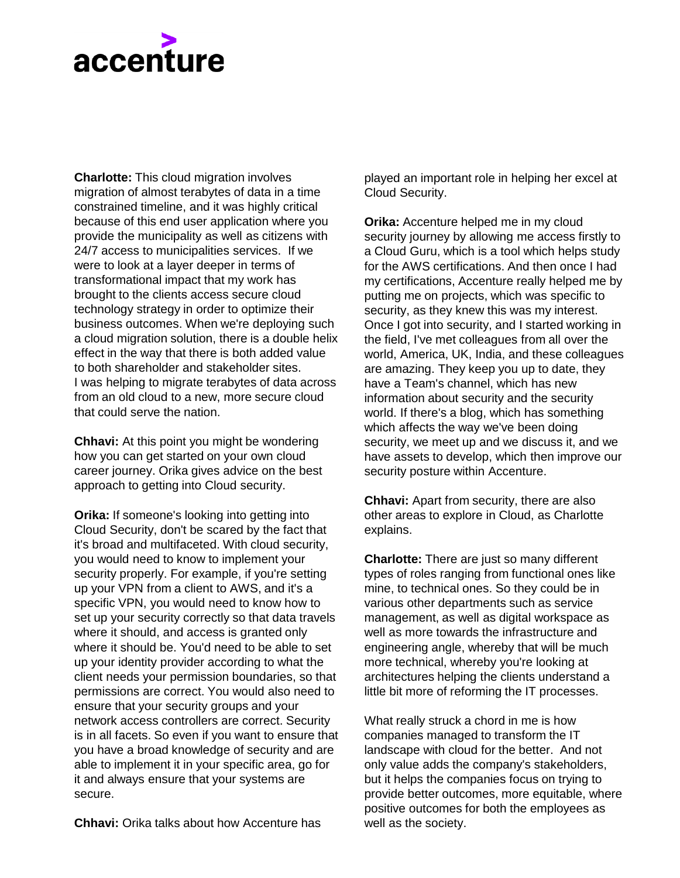## accenture

**Charlotte:** This cloud migration involves migration of almost terabytes of data in a time constrained timeline, and it was highly critical because of this end user application where you provide the municipality as well as citizens with 24/7 access to municipalities services. If we were to look at a layer deeper in terms of transformational impact that my work has brought to the clients access secure cloud technology strategy in order to optimize their business outcomes. When we're deploying such a cloud migration solution, there is a double helix effect in the way that there is both added value to both shareholder and stakeholder sites. I was helping to migrate terabytes of data across from an old cloud to a new, more secure cloud that could serve the nation.

**Chhavi:** At this point you might be wondering how you can get started on your own cloud career journey. Orika gives advice on the best approach to getting into Cloud security.

**Orika:** If someone's looking into getting into Cloud Security, don't be scared by the fact that it's broad and multifaceted. With cloud security, you would need to know to implement your security properly. For example, if you're setting up your VPN from a client to AWS, and it's a specific VPN, you would need to know how to set up your security correctly so that data travels where it should, and access is granted only where it should be. You'd need to be able to set up your identity provider according to what the client needs your permission boundaries, so that permissions are correct. You would also need to ensure that your security groups and your network access controllers are correct. Security is in all facets. So even if you want to ensure that you have a broad knowledge of security and are able to implement it in your specific area, go for it and always ensure that your systems are secure.

**Chhavi:** Orika talks about how Accenture has

played an important role in helping her excel at Cloud Security.

**Orika:** Accenture helped me in my cloud security journey by allowing me access firstly to a Cloud Guru, which is a tool which helps study for the AWS certifications. And then once I had my certifications, Accenture really helped me by putting me on projects, which was specific to security, as they knew this was my interest. Once I got into security, and I started working in the field, I've met colleagues from all over the world, America, UK, India, and these colleagues are amazing. They keep you up to date, they have a Team's channel, which has new information about security and the security world. If there's a blog, which has something which affects the way we've been doing security, we meet up and we discuss it, and we have assets to develop, which then improve our security posture within Accenture.

**Chhavi:** Apart from security, there are also other areas to explore in Cloud, as Charlotte explains.

**Charlotte:** There are just so many different types of roles ranging from functional ones like mine, to technical ones. So they could be in various other departments such as service management, as well as digital workspace as well as more towards the infrastructure and engineering angle, whereby that will be much more technical, whereby you're looking at architectures helping the clients understand a little bit more of reforming the IT processes.

What really struck a chord in me is how companies managed to transform the IT landscape with cloud for the better. And not only value adds the company's stakeholders, but it helps the companies focus on trying to provide better outcomes, more equitable, where positive outcomes for both the employees as well as the society.